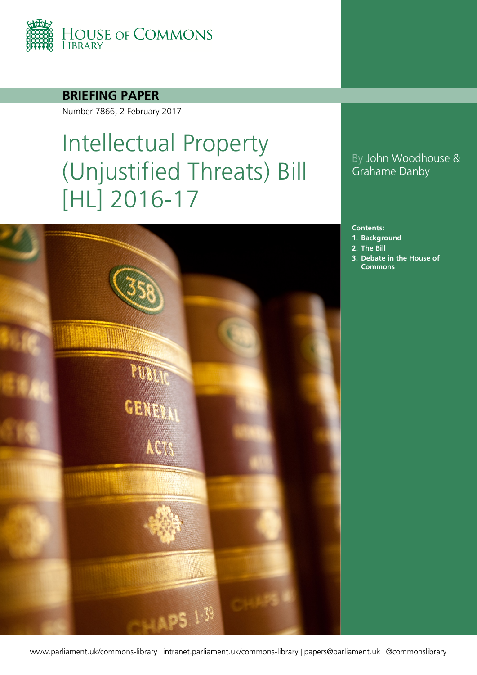

**BRIEFING PAPER**

Number 7866, 2 February 2017

# Intellectual Property (Unjustified Threats) Bill [HL] 2016-17

# **CENT** ACI  $-51.39$

## By John Woodhouse & Grahame Danby

#### **Contents:**

- **1. [Background](#page-3-0)**
- **2. [The Bill](#page-6-0)**
- **3. [Debate in the House of](#page-11-0)  [Commons](#page-11-0)**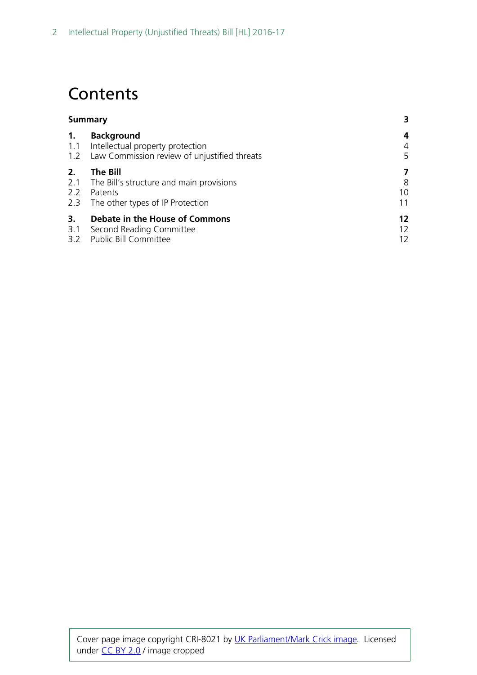# **Contents**

| Summary          |                                                                                                           | 3                  |  |
|------------------|-----------------------------------------------------------------------------------------------------------|--------------------|--|
| 1.<br>1.1        | <b>Background</b><br>Intellectual property protection<br>1.2 Law Commission review of unjustified threats | 4<br>4<br>5        |  |
| 2.<br>2.2<br>2.3 | The Bill<br>2.1 The Bill's structure and main provisions<br>Patents<br>The other types of IP Protection   | 7<br>8<br>10<br>11 |  |
| 3.<br>3.1        | Debate in the House of Commons<br>Second Reading Committee<br>3.2 Public Bill Committee                   | 12<br>12<br>12     |  |

Cover page image copyright CRI-8021 by [UK Parliament/Mark Crick image.](https://www.flickr.com/photos/uk_parliament/) Licensed under [CC BY 2.0](https://creativecommons.org/licenses/by-nc/2.0/) / image cropped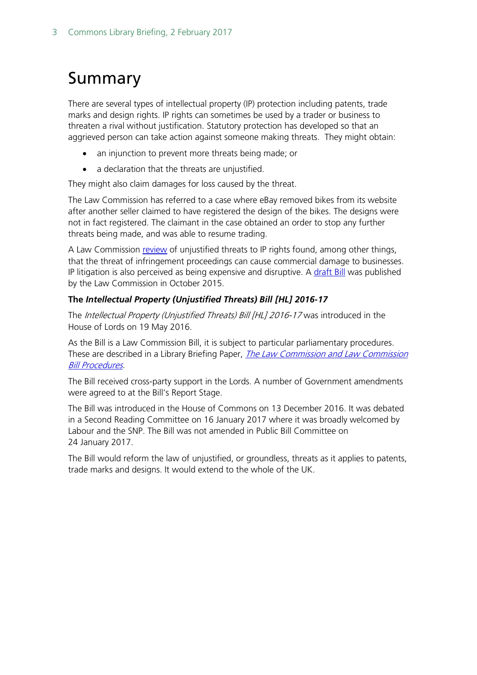# <span id="page-2-0"></span>Summary

There are several types of intellectual property (IP) protection including patents, trade marks and design rights. IP rights can sometimes be used by a trader or business to threaten a rival without justification. Statutory protection has developed so that an aggrieved person can take action against someone making threats. They might obtain:

- an injunction to prevent more threats being made; or
- a declaration that the threats are unjustified.

They might also claim damages for loss caused by the threat.

The Law Commission has referred to a case where eBay removed bikes from its website after another seller claimed to have registered the design of the bikes. The designs were not in fact registered. The claimant in the case obtained an order to stop any further threats being made, and was able to resume trading.

A Law Commission [review](http://www.lawcom.gov.uk/project/patents-trade-marks-and-designs-unjustified-threats/) of unjustified threats to IP rights found, among other things, that the threat of infringement proceedings can cause commercial damage to businesses. IP litigation is also perceived as being expensive and disruptive. A [draft Bill](http://www.lawcom.gov.uk/wp-content/uploads/2015/04/lc360_patents_unjustified_threats.pdf) was published by the Law Commission in October 2015.

#### **The** *Intellectual Property (Unjustified Threats) Bill [HL] 2016-17*

The Intellectual Property (Unjustified Threats) Bill [HL] 2016-17 was introduced in the House of Lords on 19 May 2016.

As the Bill is a Law Commission Bill, it is subject to particular parliamentary procedures. These are described in a Library Briefing Paper, *The Law Commission and Law Commission* [Bill Procedures.](http://researchbriefings.files.parliament.uk/documents/SN07156/SN07156.pdf)

The Bill received cross-party support in the Lords. A number of Government amendments were agreed to at the Bill's Report Stage.

The Bill was introduced in the House of Commons on 13 December 2016. It was debated in a Second Reading Committee on 16 January 2017 where it was broadly welcomed by Labour and the SNP. The Bill was not amended in Public Bill Committee on 24 January 2017.

The Bill would reform the law of unjustified, or groundless, threats as it applies to patents, trade marks and designs. It would extend to the whole of the UK.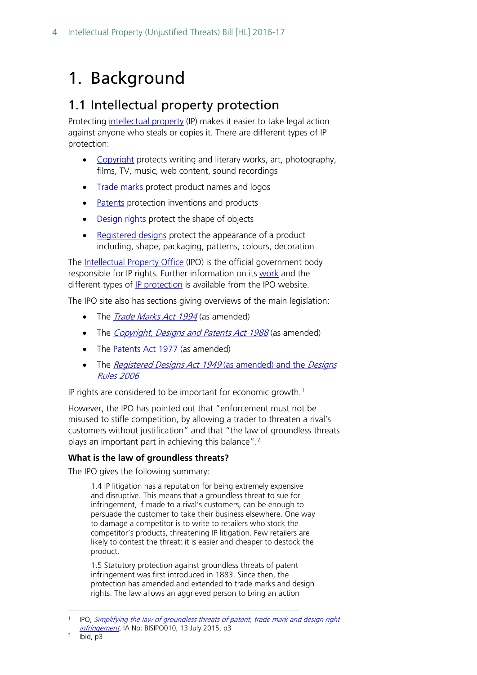# <span id="page-3-0"></span>1. Background

## <span id="page-3-1"></span>1.1 Intellectual property protection

Protecting [intellectual property](https://www.gov.uk/intellectual-property-an-overview/what-ip-is) (IP) makes it easier to take legal action against anyone who steals or copies it. There are different types of IP protection:

- [Copyright](https://www.gov.uk/copyright) protects writing and literary works, art, photography, films, TV, music, web content, sound recordings
- [Trade marks](https://www.gov.uk/how-to-register-a-trade-mark) protect product names and logos
- [Patents](https://www.gov.uk/patent-your-invention) protection inventions and products
- [Design rights](https://www.gov.uk/design-right) protect the shape of objects
- [Registered designs](https://www.gov.uk/register-a-design) protect the appearance of a product including, shape, packaging, patterns, colours, decoration

The [Intellectual Property Office](https://www.gov.uk/government/organisations/intellectual-property-office) (IPO) is the official government body responsible for IP rights. Further information on its [work](https://www.gov.uk/government/organisations/intellectual-property-office/about) and the different types of [IP protection](https://www.gov.uk/intellectual-property-an-overview/what-ip-is) is available from the IPO website.

The IPO site also has sections giving overviews of the main legislation:

- The *[Trade Marks Act 1994](https://www.gov.uk/government/publications/trade-marks-act-1994)* (as amended)
- The *[Copyright, Designs and Patents Act 1988](https://www.gov.uk/government/publications/copyright-acts-and-related-laws)* (as amended)
- The [Patents Act 1977](https://www.gov.uk/government/publications/the-patents-act-1977) (as amended)
- The [Registered Designs Act 1949](https://www.gov.uk/government/publications/registered-designs-act-and-rules) (as amended) and the Designs [Rules 2006](https://www.gov.uk/government/publications/registered-designs-act-and-rules)

IP rights are considered to be important for economic growth. [1](#page-3-2)

However, the IPO has pointed out that "enforcement must not be misused to stifle competition, by allowing a trader to threaten a rival's customers without justification" and that "the law of groundless threats plays an important part in achieving this balance".<sup>2</sup>

#### **What is the law of groundless threats?**

The IPO gives the following summary:

1.4 IP litigation has a reputation for being extremely expensive and disruptive. This means that a groundless threat to sue for infringement, if made to a rival's customers, can be enough to persuade the customer to take their business elsewhere. One way to damage a competitor is to write to retailers who stock the competitor's products, threatening IP litigation. Few retailers are likely to contest the threat: it is easier and cheaper to destock the product.

1.5 Statutory protection against groundless threats of patent infringement was first introduced in 1883. Since then, the protection has amended and extended to trade marks and design rights. The law allows an aggrieved person to bring an action

<span id="page-3-2"></span> <sup>1</sup> IPO, [Simplifying the law of groundless threats of patent, trade mark and design right](https://www.gov.uk/government/uploads/system/uploads/attachment_data/file/523255/Impact_Assessment__Unjustified_threats_Signed.pdf)  [infringement,](https://www.gov.uk/government/uploads/system/uploads/attachment_data/file/523255/Impact_Assessment__Unjustified_threats_Signed.pdf) IA No: BISIPO010, 13 July 2015, p3

<span id="page-3-3"></span>Ibid, p3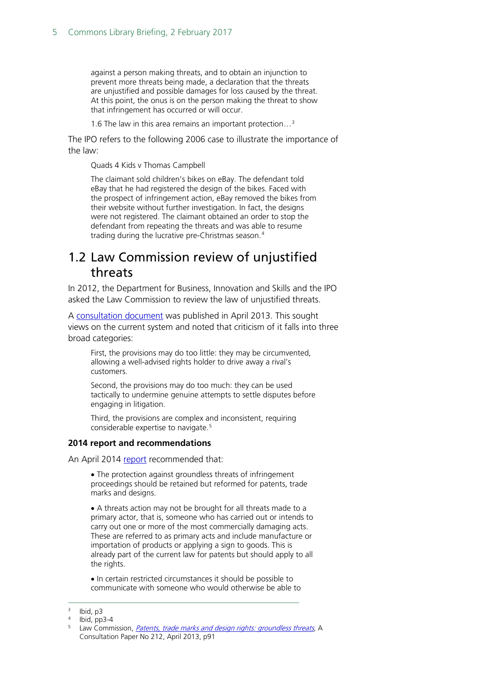against a person making threats, and to obtain an injunction to prevent more threats being made, a declaration that the threats are unjustified and possible damages for loss caused by the threat. At this point, the onus is on the person making the threat to show that infringement has occurred or will occur.

1.6 The law in this area remains an important protection…[3](#page-4-1)

The IPO refers to the following 2006 case to illustrate the importance of the law:

Quads 4 Kids v Thomas Campbell

The claimant sold children's bikes on eBay. The defendant told eBay that he had registered the design of the bikes. Faced with the prospect of infringement action, eBay removed the bikes from their website without further investigation. In fact, the designs were not registered. The claimant obtained an order to stop the defendant from repeating the threats and was able to resume trading during the lucrative pre-Christmas season.[4](#page-4-2)

## <span id="page-4-0"></span>1.2 Law Commission review of unjustified threats

In 2012, the Department for Business, Innovation and Skills and the IPO asked the Law Commission to review the law of unjustified threats.

A [consultation document](http://www.lawcom.gov.uk/wp-content/uploads/2015/03/cp212_patents_groundless_threats.pdf) was published in April 2013. This sought views on the current system and noted that criticism of it falls into three broad categories:

First, the provisions may do too little: they may be circumvented, allowing a well-advised rights holder to drive away a rival's customers.

Second, the provisions may do too much: they can be used tactically to undermine genuine attempts to settle disputes before engaging in litigation.

Third, the provisions are complex and inconsistent, requiring considerable expertise to navigate.<sup>[5](#page-4-3)</sup>

#### **2014 report and recommendations**

An April 2014 [report](http://www.lawcom.gov.uk/wp-content/uploads/2015/03/lc346_patents_groundless_threats.pdf) recommended that:

• The protection against groundless threats of infringement proceedings should be retained but reformed for patents, trade marks and designs.

• A threats action may not be brought for all threats made to a primary actor, that is, someone who has carried out or intends to carry out one or more of the most commercially damaging acts. These are referred to as primary acts and include manufacture or importation of products or applying a sign to goods. This is already part of the current law for patents but should apply to all the rights.

• In certain restricted circumstances it should be possible to communicate with someone who would otherwise be able to

Ibid, p3

<span id="page-4-2"></span><span id="page-4-1"></span> $4$  Ibid, pp3-4

<span id="page-4-3"></span><sup>&</sup>lt;sup>5</sup> Law Commission, [Patents, trade marks and design rights: groundless threats](http://www.lawcom.gov.uk/wp-content/uploads/2015/03/cp212_patents_groundless_threats.pdf), A Consultation Paper No 212, April 2013, p91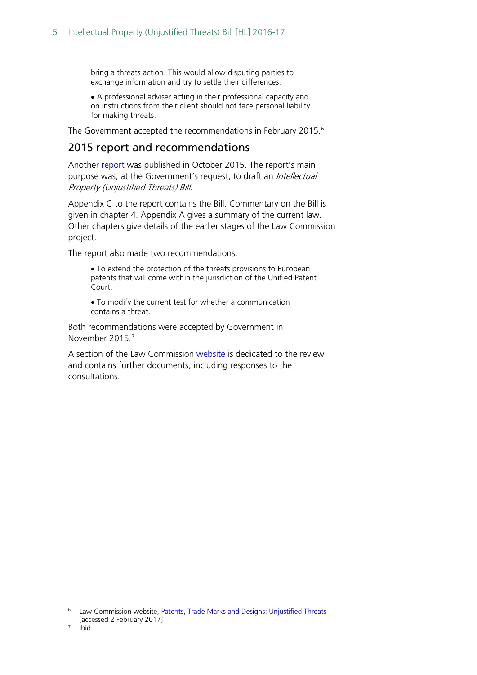bring a threats action. This would allow disputing parties to exchange information and try to settle their differences.

• A professional adviser acting in their professional capacity and on instructions from their client should not face personal liability for making threats.

The Government accepted the recommendations in February 2015.<sup>[6](#page-5-0)</sup>

#### 2015 report and recommendations

Another [report](http://www.lawcom.gov.uk/wp-content/uploads/2015/04/lc360_patents_unjustified_threats.pdf) was published in October 2015. The report's main purpose was, at the Government's request, to draft an *Intellectual* Property (Unjustified Threats) Bill.

Appendix C to the report contains the Bill. Commentary on the Bill is given in chapter 4. Appendix A gives a summary of the current law. Other chapters give details of the earlier stages of the Law Commission project.

The report also made two recommendations:

- To extend the protection of the threats provisions to European patents that will come within the jurisdiction of the Unified Patent Court.
- To modify the current test for whether a communication contains a threat.

Both recommendations were accepted by Government in November 2015.<sup>[7](#page-5-1)</sup>

A section of the Law Commission [website](http://www.lawcom.gov.uk/project/patents-trade-marks-and-designs-unjustified-threats/) is dedicated to the review and contains further documents, including responses to the consultations.

<span id="page-5-1"></span><span id="page-5-0"></span>Law Commission website, [Patents, Trade Marks and Designs: Unjustified Threats](http://www.lawcom.gov.uk/project/patents-trade-marks-and-designs-unjustified-threats/) [accessed 2 February 2017]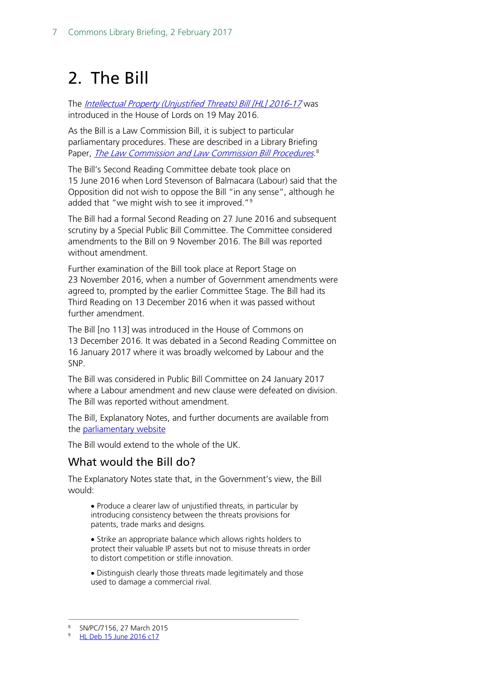# <span id="page-6-0"></span>2. The Bill

The [Intellectual Property \(Unjustified Threats\) Bill](http://services.parliament.uk/bills/2016-17/intellectualpropertyunjustifiedthreats.html) [HL] 2016-17 was introduced in the House of Lords on 19 May 2016.

As the Bill is a Law Commission Bill, it is subject to particular parliamentary procedures. These are described in a Library Briefing Paper, <u>The Law Commission and Law Commission Bill Procedures</u>.<sup>[8](#page-6-1)</sup>

The Bill's Second Reading Committee debate took place on 15 June 2016 when Lord Stevenson of Balmacara (Labour) said that the Opposition did not wish to oppose the Bill "in any sense", although he added that "we might wish to see it improved."<sup>[9](#page-6-2)</sup>

The Bill had a formal Second Reading on 27 June 2016 and subsequent scrutiny by a Special Public Bill Committee. The Committee considered amendments to the Bill on 9 November 2016. The Bill was reported without amendment.

Further examination of the Bill took place at Report Stage on 23 November 2016, when a number of Government amendments were agreed to, prompted by the earlier Committee Stage. The Bill had its Third Reading on 13 December 2016 when it was passed without further amendment.

The Bill [no 113] was introduced in the House of Commons on 13 December 2016. It was debated in a Second Reading Committee on 16 January 2017 where it was broadly welcomed by Labour and the SNP.

The Bill was considered in Public Bill Committee on 24 January 2017 where a Labour amendment and new clause were defeated on division. The Bill was reported without amendment.

The Bill, Explanatory Notes, and further documents are available from the [parliamentary website](http://services.parliament.uk/bills/2016-17/intellectualpropertyunjustifiedthreats.html)

The Bill would extend to the whole of the UK.

## What would the Bill do?

The Explanatory Notes state that, in the Government's view, the Bill would:

• Produce a clearer law of unjustified threats, in particular by introducing consistency between the threats provisions for patents, trade marks and designs.

• Strike an appropriate balance which allows rights holders to protect their valuable IP assets but not to misuse threats in order to distort competition or stifle innovation.

• Distinguish clearly those threats made legitimately and those used to damage a commercial rival.

<span id="page-6-1"></span> <sup>8</sup> SN/PC/7156, 27 March 2015

<span id="page-6-2"></span><sup>9</sup> [HL Deb 15 June 2016 c17](https://hansard.parliament.uk/Lords/2016-06-15/debates/16061540000089/IntellectualProperty(UnjustifiedThreats)Bill(HL))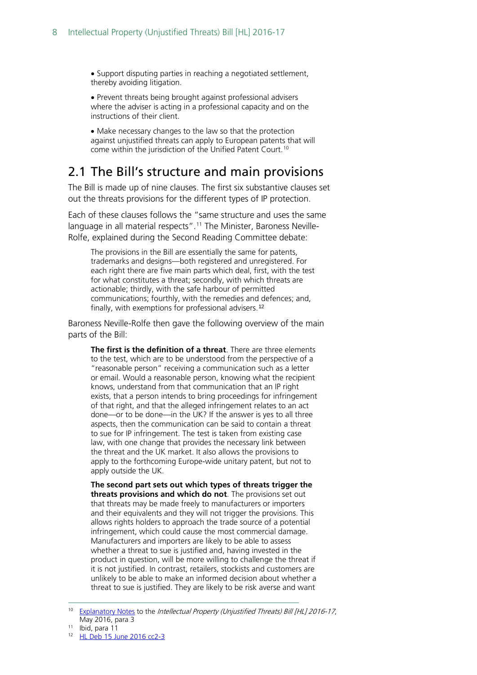• Support disputing parties in reaching a negotiated settlement, thereby avoiding litigation.

• Prevent threats being brought against professional advisers where the adviser is acting in a professional capacity and on the instructions of their client.

• Make necessary changes to the law so that the protection against unjustified threats can apply to European patents that will come within the jurisdiction of the Unified Patent Court.[10](#page-7-1)

## <span id="page-7-0"></span>2.1 The Bill's structure and main provisions

The Bill is made up of nine clauses. The first six substantive clauses set out the threats provisions for the different types of IP protection.

Each of these clauses follows the "same structure and uses the same language in all material respects". [11](#page-7-2) The Minister, Baroness Neville-Rolfe, explained during the Second Reading Committee debate:

The provisions in the Bill are essentially the same for patents, trademarks and designs—both registered and unregistered. For each right there are five main parts which deal, first, with the test for what constitutes a threat; secondly, with which threats are actionable; thirdly, with the safe harbour of permitted communications; fourthly, with the remedies and defences; and, finally, with exemptions for professional advisers.[12](#page-7-3)

Baroness Neville-Rolfe then gave the following overview of the main parts of the Bill:

**The first is the definition of a threat**. There are three elements to the test, which are to be understood from the perspective of a "reasonable person" receiving a communication such as a letter or email. Would a reasonable person, knowing what the recipient knows, understand from that communication that an IP right exists, that a person intends to bring proceedings for infringement of that right, and that the alleged infringement relates to an act done—or to be done—in the UK? If the answer is yes to all three aspects, then the communication can be said to contain a threat to sue for IP infringement. The test is taken from existing case law, with one change that provides the necessary link between the threat and the UK market. It also allows the provisions to apply to the forthcoming Europe-wide unitary patent, but not to apply outside the UK.

**The second part sets out which types of threats trigger the threats provisions and which do not**. The provisions set out that threats may be made freely to manufacturers or importers and their equivalents and they will not trigger the provisions. This allows rights holders to approach the trade source of a potential infringement, which could cause the most commercial damage. Manufacturers and importers are likely to be able to assess whether a threat to sue is justified and, having invested in the product in question, will be more willing to challenge the threat if it is not justified. In contrast, retailers, stockists and customers are unlikely to be able to make an informed decision about whether a threat to sue is justified. They are likely to be risk averse and want

<span id="page-7-1"></span>[Explanatory Notes](http://www.publications.parliament.uk/pa/bills/lbill/2016-2017/0004/17004en.pdf) to the Intellectual Property (Unjustified Threats) Bill [HL] 2016-17, May 2016, para 3

<span id="page-7-2"></span><sup>11</sup> Ibid, para 11

<span id="page-7-3"></span><sup>12</sup> [HL Deb 15 June 2016 cc2-3](https://hansard.parliament.uk/Lords/2016-06-15/debates/16061540000089/IntellectualProperty(UnjustifiedThreats)Bill(HL))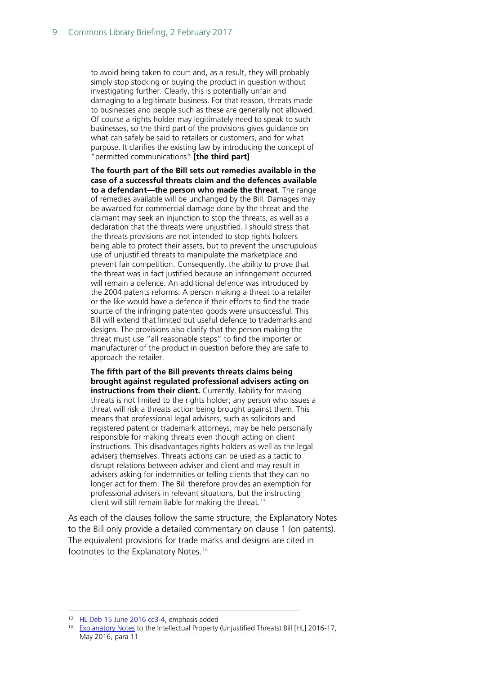to avoid being taken to court and, as a result, they will probably simply stop stocking or buying the product in question without investigating further. Clearly, this is potentially unfair and damaging to a legitimate business. For that reason, threats made to businesses and people such as these are generally not allowed. Of course a rights holder may legitimately need to speak to such businesses, so the third part of the provisions gives guidance on what can safely be said to retailers or customers, and for what purpose. It clarifies the existing law by introducing the concept of "permitted communications" **[the third part]**

**The fourth part of the Bill sets out remedies available in the case of a successful threats claim and the defences available to a defendant—the person who made the threat**. The range of remedies available will be unchanged by the Bill. Damages may be awarded for commercial damage done by the threat and the claimant may seek an injunction to stop the threats, as well as a declaration that the threats were unjustified. I should stress that the threats provisions are not intended to stop rights holders being able to protect their assets, but to prevent the unscrupulous use of unjustified threats to manipulate the marketplace and prevent fair competition. Consequently, the ability to prove that the threat was in fact justified because an infringement occurred will remain a defence. An additional defence was introduced by the 2004 patents reforms. A person making a threat to a retailer or the like would have a defence if their efforts to find the trade source of the infringing patented goods were unsuccessful. This Bill will extend that limited but useful defence to trademarks and designs. The provisions also clarify that the person making the threat must use "all reasonable steps" to find the importer or manufacturer of the product in question before they are safe to approach the retailer.

**The fifth part of the Bill prevents threats claims being brought against regulated professional advisers acting on instructions from their client.** Currently, liability for making threats is not limited to the rights holder; any person who issues a threat will risk a threats action being brought against them. This means that professional legal advisers, such as solicitors and registered patent or trademark attorneys, may be held personally responsible for making threats even though acting on client instructions. This disadvantages rights holders as well as the legal advisers themselves. Threats actions can be used as a tactic to disrupt relations between adviser and client and may result in advisers asking for indemnities or telling clients that they can no longer act for them. The Bill therefore provides an exemption for professional advisers in relevant situations, but the instructing client will still remain liable for making the threat.<sup>[13](#page-8-0)</sup>

As each of the clauses follow the same structure, the Explanatory Notes to the Bill only provide a detailed commentary on clause 1 (on patents). The equivalent provisions for trade marks and designs are cited in footnotes to the Explanatory Notes.<sup>[14](#page-8-1)</sup>

<span id="page-8-0"></span><sup>&</sup>lt;sup>13</sup> [HL Deb 15 June 2016 cc3-4,](https://hansard.parliament.uk/Lords/2016-06-15/debates/16061540000089/IntellectualProperty(UnjustifiedThreats)Bill(HL)) emphasis added

<span id="page-8-1"></span><sup>&</sup>lt;sup>14</sup> [Explanatory Notes](http://www.publications.parliament.uk/pa/bills/lbill/2016-2017/0004/17004en.pdf) to the Intellectual Property (Unjustified Threats) Bill [HL] 2016-17, May 2016, para 11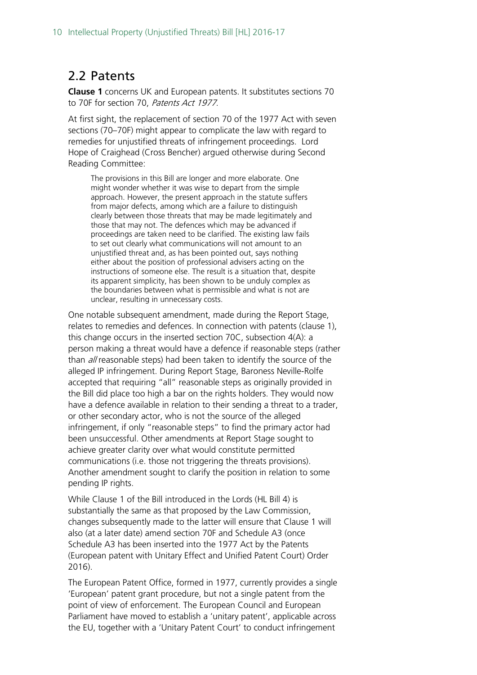## <span id="page-9-0"></span>2.2 Patents

**Clause 1** concerns UK and European patents. It substitutes sections 70 to 70F for section 70, Patents Act 1977.

At first sight, the replacement of section 70 of the 1977 Act with seven sections (70–70F) might appear to complicate the law with regard to remedies for unjustified threats of infringement proceedings. Lord Hope of Craighead (Cross Bencher) argued otherwise during Second Reading Committee:

The provisions in this Bill are longer and more elaborate. One might wonder whether it was wise to depart from the simple approach. However, the present approach in the statute suffers from major defects, among which are a failure to distinguish clearly between those threats that may be made legitimately and those that may not. The defences which may be advanced if proceedings are taken need to be clarified. The existing law fails to set out clearly what communications will not amount to an unjustified threat and, as has been pointed out, says nothing either about the position of professional advisers acting on the instructions of someone else. The result is a situation that, despite its apparent simplicity, has been shown to be unduly complex as the boundaries between what is permissible and what is not are unclear, resulting in unnecessary costs.

One notable subsequent amendment, made during the Report Stage, relates to remedies and defences. In connection with patents (clause 1), this change occurs in the inserted section 70C, subsection 4(A): a person making a threat would have a defence if reasonable steps (rather than *all* reasonable steps) had been taken to identify the source of the alleged IP infringement. During Report Stage, Baroness Neville-Rolfe accepted that requiring "all" reasonable steps as originally provided in the Bill did place too high a bar on the rights holders. They would now have a defence available in relation to their sending a threat to a trader, or other secondary actor, who is not the source of the alleged infringement, if only "reasonable steps" to find the primary actor had been unsuccessful. Other amendments at Report Stage sought to achieve greater clarity over what would constitute permitted communications (i.e. those not triggering the threats provisions). Another amendment sought to clarify the position in relation to some pending IP rights.

While Clause 1 of the Bill introduced in the Lords (HL Bill 4) is substantially the same as that proposed by the Law Commission, changes subsequently made to the latter will ensure that Clause 1 will also (at a later date) amend section 70F and Schedule A3 (once Schedule A3 has been inserted into the 1977 Act by the Patents (European patent with Unitary Effect and Unified Patent Court) Order 2016).

The European Patent Office, formed in 1977, currently provides a single 'European' patent grant procedure, but not a single patent from the point of view of enforcement. The European Council and European Parliament have moved to establish a 'unitary patent', applicable across the EU, together with a 'Unitary Patent Court' to conduct infringement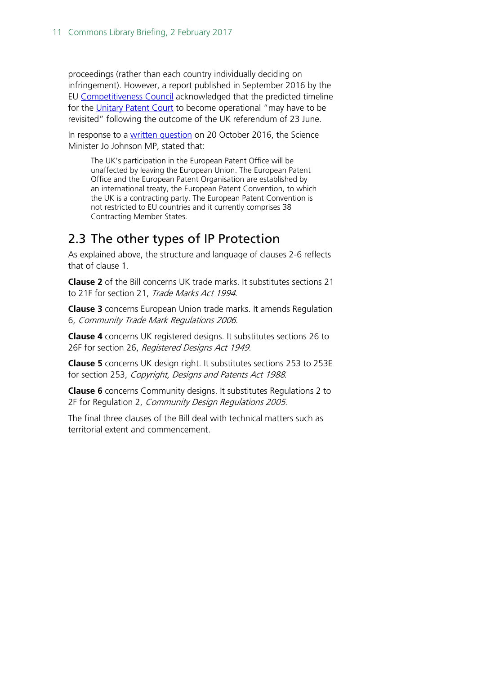proceedings (rather than each country individually deciding on infringement). However, a report published in September 2016 by the EU [Competitiveness Council](http://www.consilium.europa.eu/en/meetings/compet/2016/09/Background_Compet_EN_pdf/) acknowledged that the predicted timeline for the [Unitary Patent Court](https://www.unified-patent-court.org/) to become operational "may have to be revisited" following the outcome of the UK referendum of 23 June.

In response to a [written question](http://www.parliament.uk/written-questions-answers-statements/written-question/commons/2016-10-10/47913) on 20 October 2016, the Science Minister Jo Johnson MP, stated that:

The UK's participation in the European Patent Office will be unaffected by leaving the European Union. The European Patent Office and the European Patent Organisation are established by an international treaty, the European Patent Convention, to which the UK is a contracting party. The European Patent Convention is not restricted to EU countries and it currently comprises 38 Contracting Member States.

## <span id="page-10-0"></span>2.3 The other types of IP Protection

As explained above, the structure and language of clauses 2-6 reflects that of clause 1.

**Clause 2** of the Bill concerns UK trade marks. It substitutes sections 21 to 21F for section 21, Trade Marks Act 1994.

**Clause 3** concerns European Union trade marks. It amends Regulation 6, Community Trade Mark Regulations 2006.

**Clause 4** concerns UK registered designs. It substitutes sections 26 to 26F for section 26, Registered Designs Act 1949.

**Clause 5** concerns UK design right. It substitutes sections 253 to 253E for section 253, Copyright, Designs and Patents Act 1988.

**Clause 6** concerns Community designs. It substitutes Regulations 2 to 2F for Regulation 2, Community Design Regulations 2005.

The final three clauses of the Bill deal with technical matters such as territorial extent and commencement.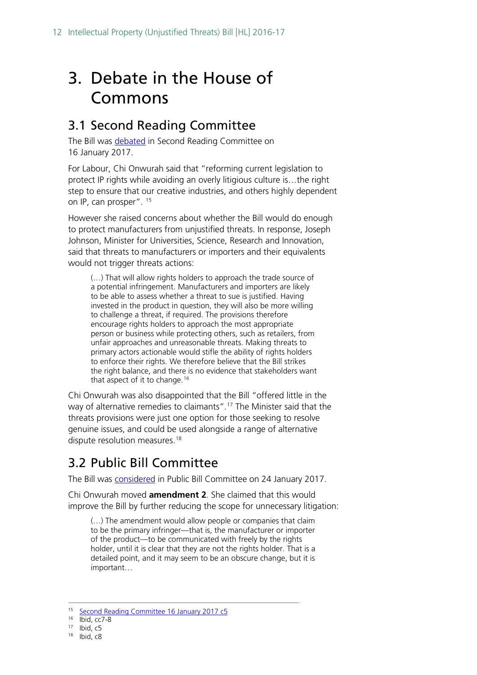# <span id="page-11-0"></span>3. Debate in the House of Commons

## <span id="page-11-1"></span>3.1 Second Reading Committee

The Bill was [debated](https://hansard.parliament.uk/commons/2017-01-16/debates/ff505bd6-c491-4f25-8701-b924d51bb5f8/IntellectualProperty(UnjustifiedThreats)Bill(Lords)) in Second Reading Committee on 16 January 2017.

For Labour, Chi Onwurah said that "reforming current legislation to protect IP rights while avoiding an overly litigious culture is…the right step to ensure that our creative industries, and others highly dependent on IP, can prosper". <sup>[15](#page-11-3)</sup>

However she raised concerns about whether the Bill would do enough to protect manufacturers from unjustified threats. In response, Joseph Johnson, Minister for Universities, Science, Research and Innovation, said that threats to manufacturers or importers and their equivalents would not trigger threats actions:

(…) That will allow rights holders to approach the trade source of a potential infringement. Manufacturers and importers are likely to be able to assess whether a threat to sue is justified. Having invested in the product in question, they will also be more willing to challenge a threat, if required. The provisions therefore encourage rights holders to approach the most appropriate person or business while protecting others, such as retailers, from unfair approaches and unreasonable threats. Making threats to primary actors actionable would stifle the ability of rights holders to enforce their rights. We therefore believe that the Bill strikes the right balance, and there is no evidence that stakeholders want that aspect of it to change.<sup>[16](#page-11-4)</sup>

Chi Onwurah was also disappointed that the Bill "offered little in the way of alternative remedies to claimants".[17](#page-11-5) The Minister said that the threats provisions were just one option for those seeking to resolve genuine issues, and could be used alongside a range of alternative dispute resolution measures. [18](#page-11-6)

## <span id="page-11-2"></span>3.2 Public Bill Committee

The Bill was [considered](https://hansard.parliament.uk/commons/2017-01-24/debates/69ad3164-c4d6-4ccc-acc7-faab3334f9d9/IntellectualProperty(UnjustifiedThreats)Bill(Lords)(FirstSitting)) in Public Bill Committee on 24 January 2017.

Chi Onwurah moved **amendment 2**. She claimed that this would improve the Bill by further reducing the scope for unnecessary litigation:

(…) The amendment would allow people or companies that claim to be the primary infringer—that is, the manufacturer or importer of the product—to be communicated with freely by the rights holder, until it is clear that they are not the rights holder. That is a detailed point, and it may seem to be an obscure change, but it is important…

<span id="page-11-3"></span> <sup>15</sup> [Second Reading Committee](https://hansard.parliament.uk/commons/2017-01-16/debates/ff505bd6-c491-4f25-8701-b924d51bb5f8/IntellectualProperty(UnjustifiedThreats)Bill(Lords)) 16 January 2017 c5

<span id="page-11-4"></span><sup>16</sup> Ibid, cc7-8

<span id="page-11-5"></span> $17$  Ibid,  $c5$ 

<span id="page-11-6"></span><sup>18</sup> Ibid, c8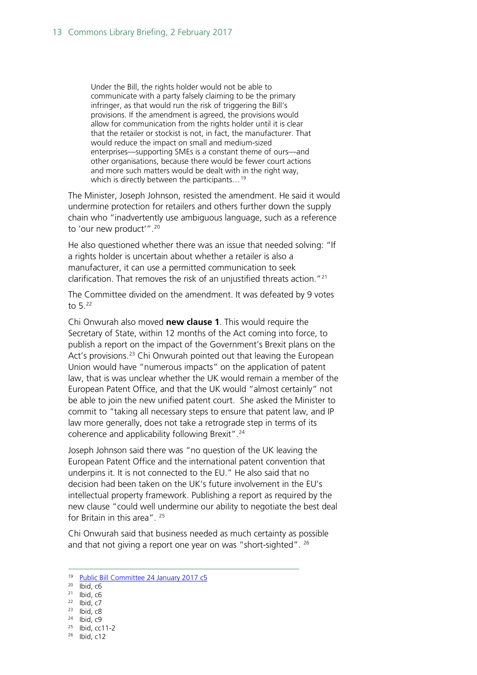Under the Bill, the rights holder would not be able to communicate with a party falsely claiming to be the primary infringer, as that would run the risk of triggering the Bill's provisions. If the amendment is agreed, the provisions would allow for communication from the rights holder until it is clear that the retailer or stockist is not, in fact, the manufacturer. That would reduce the impact on small and medium-sized enterprises—supporting SMEs is a constant theme of ours—and other organisations, because there would be fewer court actions and more such matters would be dealt with in the right way, which is directly between the participants...<sup>[19](#page-12-0)</sup>

The Minister, Joseph Johnson, resisted the amendment. He said it would undermine protection for retailers and others further down the supply chain who "inadvertently use ambiguous language, such as a reference to 'our new product'".[20](#page-12-1)

He also questioned whether there was an issue that needed solving: "If a rights holder is uncertain about whether a retailer is also a manufacturer, it can use a permitted communication to seek clarification. That removes the risk of an unjustified threats action."[21](#page-12-2)

The Committee divided on the amendment. It was defeated by 9 votes to 5.[22](#page-12-3)

Chi Onwurah also moved **new clause 1**. This would require the Secretary of State, within 12 months of the Act coming into force, to publish a report on the impact of the Government's Brexit plans on the Act's provisions.<sup>[23](#page-12-4)</sup> Chi Onwurah pointed out that leaving the European Union would have "numerous impacts" on the application of patent law, that is was unclear whether the UK would remain a member of the European Patent Office, and that the UK would "almost certainly" not be able to join the new unified patent court. She asked the Minister to commit to "taking all necessary steps to ensure that patent law, and IP law more generally, does not take a retrograde step in terms of its coherence and applicability following Brexit".<sup>[24](#page-12-5)</sup>

Joseph Johnson said there was "no question of the UK leaving the European Patent Office and the international patent convention that underpins it. It is not connected to the EU." He also said that no decision had been taken on the UK's future involvement in the EU's intellectual property framework. Publishing a report as required by the new clause "could well undermine our ability to negotiate the best deal for Britain in this area". <sup>[25](#page-12-6)</sup>

Chi Onwurah said that business needed as much certainty as possible and that not giving a report one year on was "short-sighted". <sup>[26](#page-12-7)</sup>

- $21$  Ibid, c<sub>6</sub>
- <span id="page-12-3"></span><span id="page-12-2"></span> $22$  Ibid,  $c7$
- <span id="page-12-4"></span> $23$  Ibid,  $c8$  $24$  Ibid, c9
- <span id="page-12-6"></span><span id="page-12-5"></span><sup>25</sup> Ibid, cc11-2
- 
- <span id="page-12-7"></span><sup>26</sup> Ibid, c12

<sup>&</sup>lt;sup>19</sup> Public Bill [Committee 24 January 2017 c5](https://hansard.parliament.uk/commons/2017-01-24/debates/69ad3164-c4d6-4ccc-acc7-faab3334f9d9/IntellectualProperty(UnjustifiedThreats)Bill(Lords)(FirstSitting))

<span id="page-12-1"></span><span id="page-12-0"></span> $20$  Ibid,  $c6$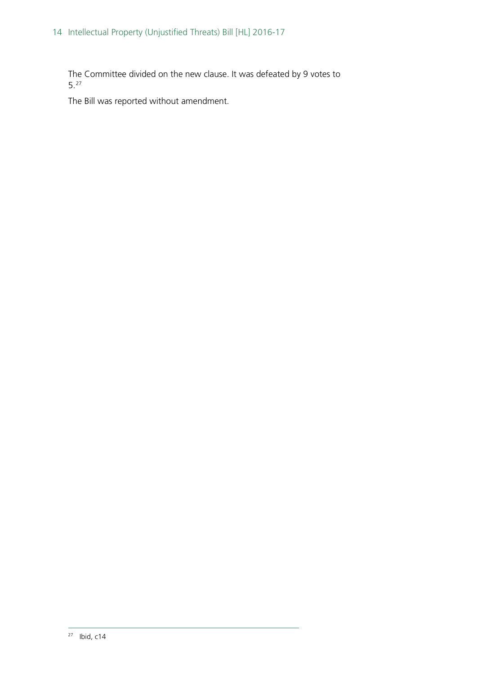The Committee divided on the new clause. It was defeated by 9 votes to 5.[27](#page-13-0)

<span id="page-13-0"></span>The Bill was reported without amendment.